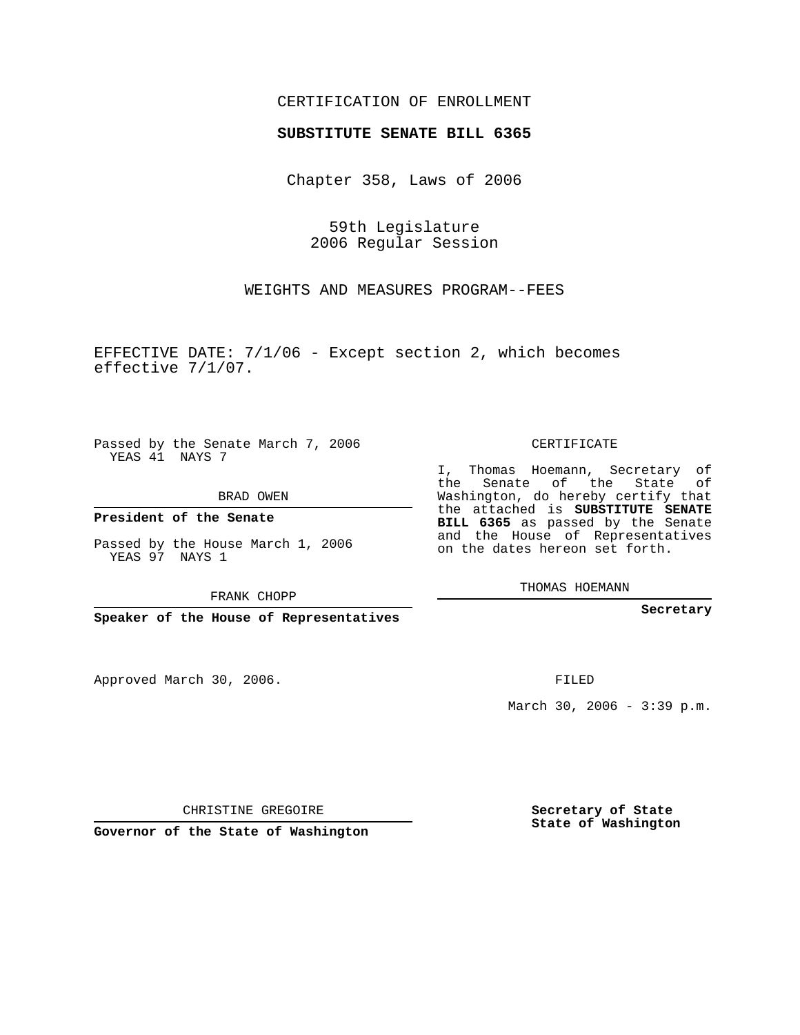## CERTIFICATION OF ENROLLMENT

#### **SUBSTITUTE SENATE BILL 6365**

Chapter 358, Laws of 2006

59th Legislature 2006 Regular Session

WEIGHTS AND MEASURES PROGRAM--FEES

EFFECTIVE DATE: 7/1/06 - Except section 2, which becomes effective 7/1/07.

Passed by the Senate March 7, 2006 YEAS 41 NAYS 7

BRAD OWEN

**President of the Senate**

Passed by the House March 1, 2006 YEAS 97 NAYS 1

FRANK CHOPP

**Speaker of the House of Representatives**

Approved March 30, 2006.

CERTIFICATE

I, Thomas Hoemann, Secretary of the Senate of the State of Washington, do hereby certify that the attached is **SUBSTITUTE SENATE BILL 6365** as passed by the Senate and the House of Representatives on the dates hereon set forth.

THOMAS HOEMANN

**Secretary**

FILED

March 30, 2006 - 3:39 p.m.

CHRISTINE GREGOIRE

**Governor of the State of Washington**

**Secretary of State State of Washington**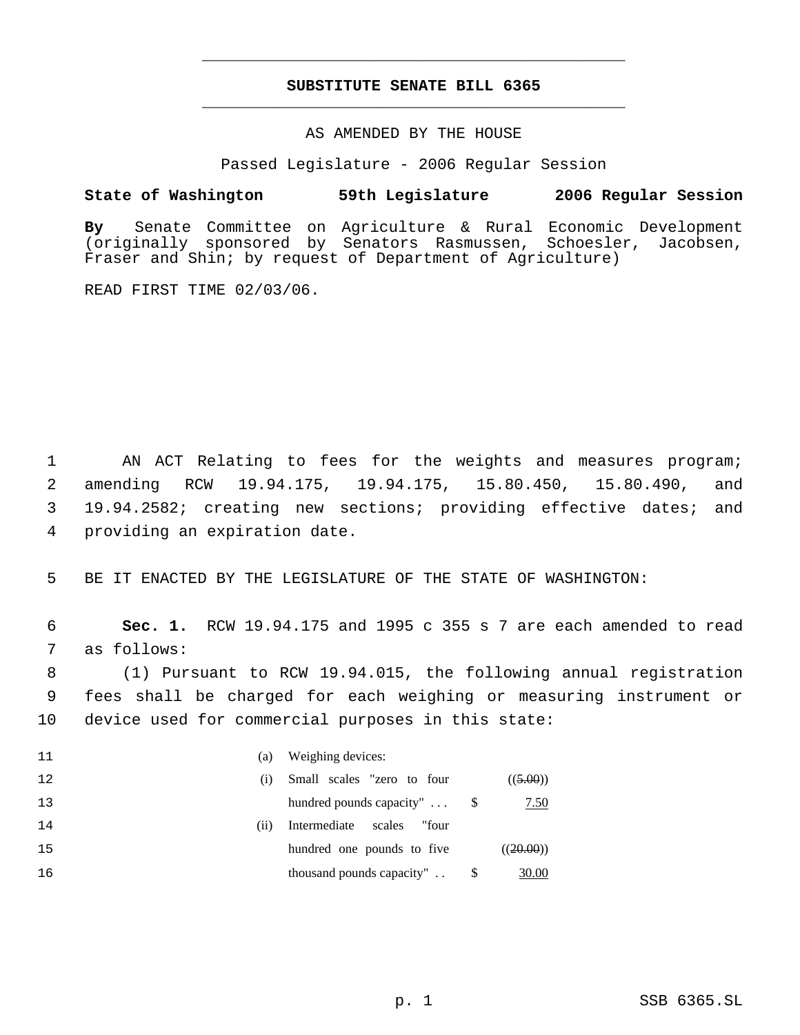# **SUBSTITUTE SENATE BILL 6365** \_\_\_\_\_\_\_\_\_\_\_\_\_\_\_\_\_\_\_\_\_\_\_\_\_\_\_\_\_\_\_\_\_\_\_\_\_\_\_\_\_\_\_\_\_

\_\_\_\_\_\_\_\_\_\_\_\_\_\_\_\_\_\_\_\_\_\_\_\_\_\_\_\_\_\_\_\_\_\_\_\_\_\_\_\_\_\_\_\_\_

### AS AMENDED BY THE HOUSE

Passed Legislature - 2006 Regular Session

### **State of Washington 59th Legislature 2006 Regular Session**

**By** Senate Committee on Agriculture & Rural Economic Development (originally sponsored by Senators Rasmussen, Schoesler, Jacobsen, Fraser and Shin; by request of Department of Agriculture)

READ FIRST TIME 02/03/06.

1 AN ACT Relating to fees for the weights and measures program; amending RCW 19.94.175, 19.94.175, 15.80.450, 15.80.490, and 19.94.2582; creating new sections; providing effective dates; and providing an expiration date.

5 BE IT ENACTED BY THE LEGISLATURE OF THE STATE OF WASHINGTON:

 6 **Sec. 1.** RCW 19.94.175 and 1995 c 355 s 7 are each amended to read 7 as follows:

 8 (1) Pursuant to RCW 19.94.015, the following annual registration 9 fees shall be charged for each weighing or measuring instrument or 10 device used for commercial purposes in this state:

| 11 | (a)  | Weighing devices:               |           |
|----|------|---------------------------------|-----------|
| 12 | (i)  | Small scales "zero to four      | ((5.00))  |
| 13 |      | hundred pounds capacity"        | 7.50      |
| 14 | (11) | Intermediate<br>"four<br>scales |           |
| 15 |      | hundred one pounds to five      | ((20.00)) |
| 16 |      | thousand pounds capacity"       | 30.00     |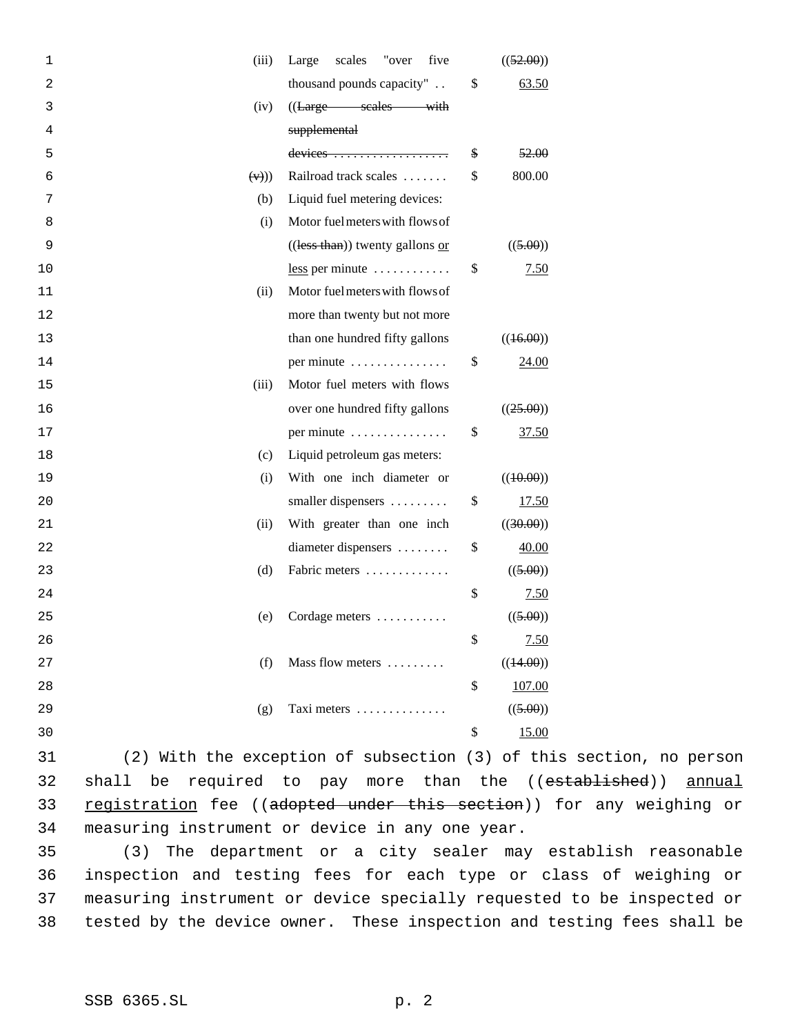| 1  | (iii)        | Large<br>scales<br>"over<br>five  | ((52.00))    |
|----|--------------|-----------------------------------|--------------|
| 2  |              | thousand pounds capacity"         | \$<br>63.50  |
| 3  | (iv)         | ((Large scales with               |              |
| 4  |              | supplemental                      |              |
| 5  |              |                                   | \$<br>52.00  |
| 6  | $(\forall$ ) | Railroad track scales             | \$<br>800.00 |
| 7  | (b)          | Liquid fuel metering devices:     |              |
| 8  | (i)          | Motor fuel meters with flows of   |              |
| 9  |              | $((less than))$ twenty gallons or | ((5.00))     |
| 10 |              | $less per minute   $              | \$<br>7.50   |
| 11 | (ii)         | Motor fuel meters with flows of   |              |
| 12 |              | more than twenty but not more     |              |
| 13 |              | than one hundred fifty gallons    | ((16.00))    |
| 14 |              | per minute                        | \$<br>24.00  |
| 15 | (iii)        | Motor fuel meters with flows      |              |
| 16 |              | over one hundred fifty gallons    | ((25.00))    |
| 17 |              | per minute                        | \$<br>37.50  |
| 18 | (c)          | Liquid petroleum gas meters:      |              |
| 19 | (i)          | With one inch diameter or         | ((40.00))    |
| 20 |              | smaller dispensers                | \$<br>17.50  |
| 21 | (ii)         | With greater than one inch        | ((30.00))    |
| 22 |              | diameter dispensers               | \$<br>40.00  |
| 23 | (d)          | Fabric meters                     | ((5.00))     |
| 24 |              |                                   | \$<br>7.50   |
| 25 | (e)          | Cordage meters                    | ((5.00))     |
| 26 |              |                                   | \$<br>7.50   |
| 27 | (f)          | Mass flow meters                  | ((44.00))    |
| 28 |              |                                   | \$<br>107.00 |
| 29 | (g)          | Taxi meters                       | ((5.00))     |
| 30 |              |                                   | \$<br>15.00  |

31 (2) With the exception of subsection (3) of this section, no person 32 shall be required to pay more than the ((established)) annual 33 registration fee ((adopted under this section)) for any weighing or 34 measuring instrument or device in any one year.

 (3) The department or a city sealer may establish reasonable inspection and testing fees for each type or class of weighing or measuring instrument or device specially requested to be inspected or tested by the device owner. These inspection and testing fees shall be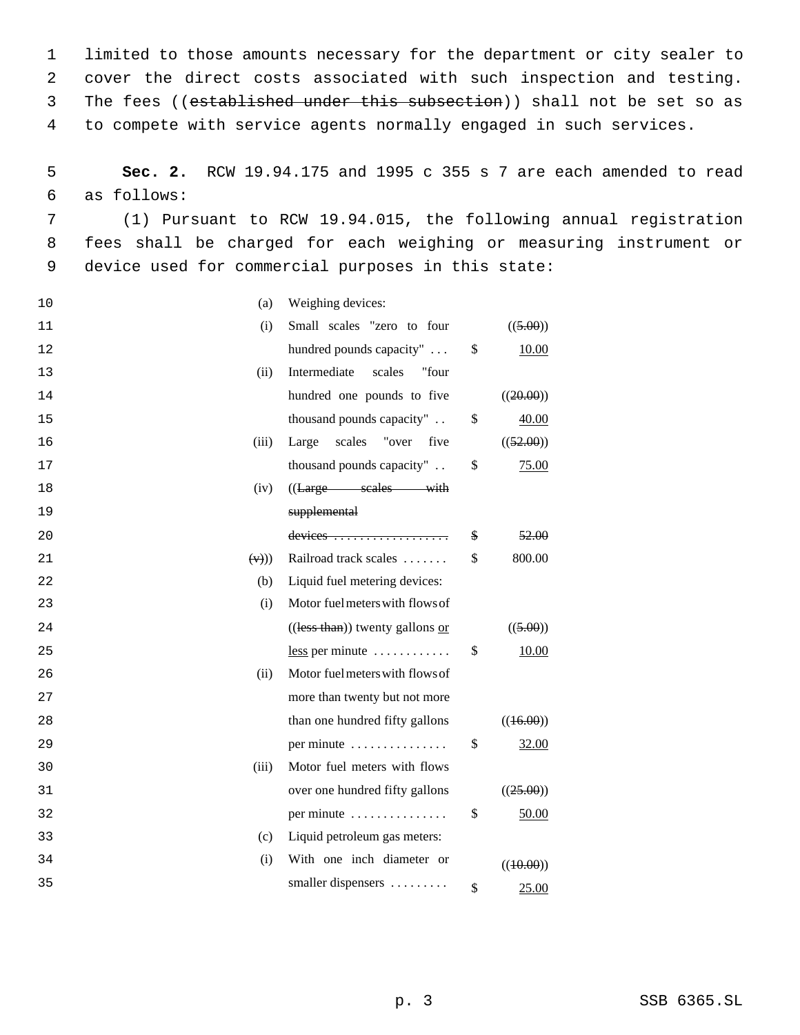limited to those amounts necessary for the department or city sealer to cover the direct costs associated with such inspection and testing. 3 The fees ((established under this subsection)) shall not be set so as to compete with service agents normally engaged in such services.

 5 **Sec. 2.** RCW 19.94.175 and 1995 c 355 s 7 are each amended to read 6 as follows:

 7 (1) Pursuant to RCW 19.94.015, the following annual registration 8 fees shall be charged for each weighing or measuring instrument or 9 device used for commercial purposes in this state:

| 10 | (a)          | Weighing devices:                 |                        |
|----|--------------|-----------------------------------|------------------------|
| 11 | (i)          | Small scales "zero to four        | ((5.00))               |
| 12 |              | hundred pounds capacity"          | \$<br>10.00            |
| 13 | (ii)         | Intermediate<br>scales<br>"four   |                        |
| 14 |              | hundred one pounds to five        | ((20.00))              |
| 15 |              | thousand pounds capacity"         | \$<br>40.00            |
| 16 | (iii)        | Large<br>scales<br>"over five     | ((52.00))              |
| 17 |              | thousand pounds capacity"         | \$<br>75.00            |
| 18 | (iv)         | ((Large scales with               |                        |
| 19 |              | supplemental                      |                        |
| 20 |              |                                   | \$<br><del>52.00</del> |
| 21 | $(\forall$ ) | Railroad track scales             | \$<br>800.00           |
| 22 | (b)          | Liquid fuel metering devices:     |                        |
| 23 | (i)          | Motor fuel meters with flows of   |                        |
| 24 |              | $((less than))$ twenty gallons or | ((5.00))               |
| 25 |              | $less per minute   $              | \$<br>10.00            |
| 26 | (ii)         | Motor fuel meters with flows of   |                        |
| 27 |              | more than twenty but not more     |                        |
| 28 |              | than one hundred fifty gallons    | ((16.00))              |
| 29 |              | per minute                        | \$<br>32.00            |
| 30 | (iii)        | Motor fuel meters with flows      |                        |
| 31 |              | over one hundred fifty gallons    | ((25.00))              |
| 32 |              | per minute                        | \$<br>50.00            |
| 33 | (c)          | Liquid petroleum gas meters:      |                        |
| 34 | (i)          | With one inch diameter or         | ((40.00))              |
| 35 |              | smaller dispensers                | \$<br>25.00            |
|    |              |                                   |                        |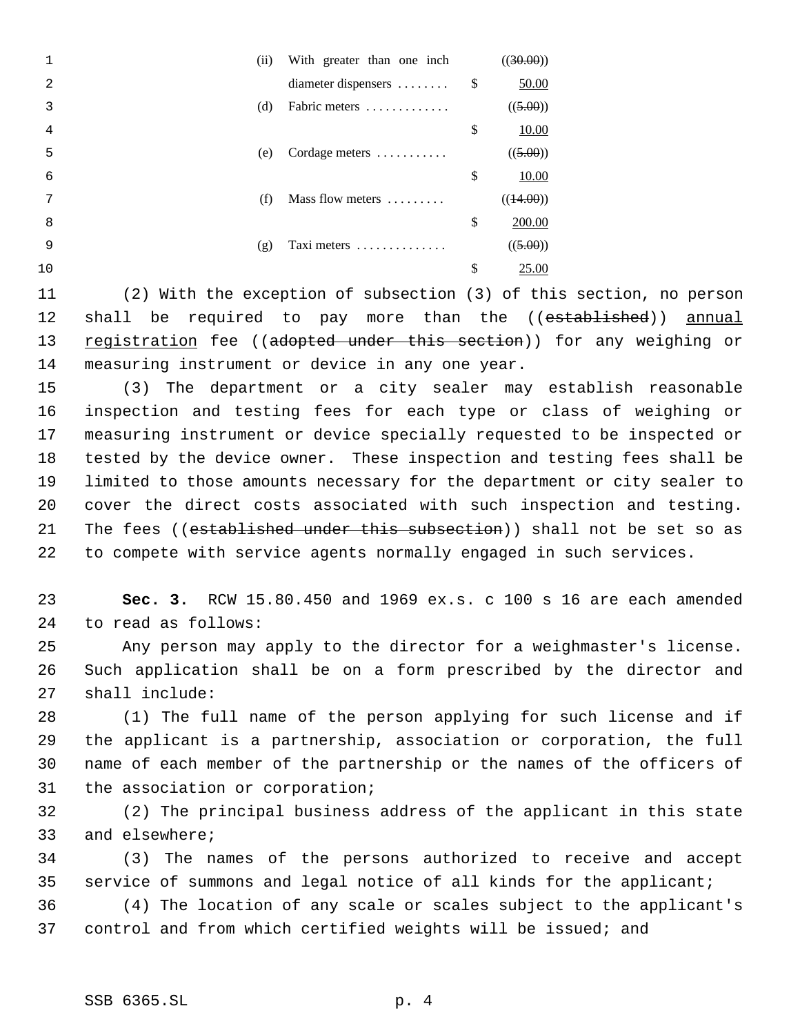|    | (ii) | With greater than one inch | ((30.00))          |
|----|------|----------------------------|--------------------|
| 2  |      | diameter dispensers        | \$<br>50.00        |
| 3  | (d)  | Fabric meters              | ((5.00))           |
| 4  |      |                            | \$<br><u>10.00</u> |
| 5  | (e)  | Cordage meters             | ((5.00))           |
| 6  |      |                            | \$<br>10.00        |
| 7  | (f)  | Mass flow meters           | ((44.00))          |
| 8  |      |                            | \$<br>200.00       |
| 9  | (g)  | Taxi meters                | ((5.00))           |
| 10 |      |                            | \$<br>25.00        |
|    |      |                            |                    |

11 (2) With the exception of subsection (3) of this section, no person 12 shall be required to pay more than the ((established)) annual 13 registration fee ((adopted under this section)) for any weighing or 14 measuring instrument or device in any one year.

 (3) The department or a city sealer may establish reasonable inspection and testing fees for each type or class of weighing or measuring instrument or device specially requested to be inspected or tested by the device owner. These inspection and testing fees shall be limited to those amounts necessary for the department or city sealer to cover the direct costs associated with such inspection and testing. 21 The fees ((established under this subsection)) shall not be set so as to compete with service agents normally engaged in such services.

23 **Sec. 3.** RCW 15.80.450 and 1969 ex.s. c 100 s 16 are each amended 24 to read as follows:

25 Any person may apply to the director for a weighmaster's license. 26 Such application shall be on a form prescribed by the director and 27 shall include:

 (1) The full name of the person applying for such license and if the applicant is a partnership, association or corporation, the full name of each member of the partnership or the names of the officers of the association or corporation;

32 (2) The principal business address of the applicant in this state 33 and elsewhere;

34 (3) The names of the persons authorized to receive and accept 35 service of summons and legal notice of all kinds for the applicant;

36 (4) The location of any scale or scales subject to the applicant's 37 control and from which certified weights will be issued; and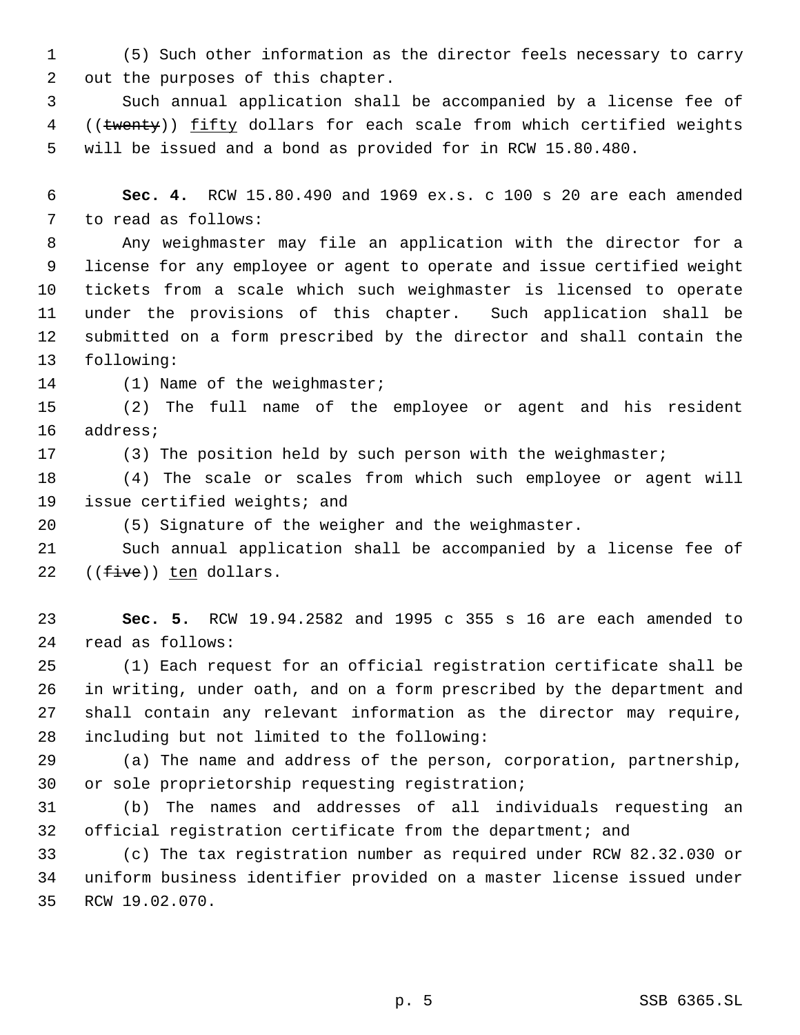(5) Such other information as the director feels necessary to carry out the purposes of this chapter.

 Such annual application shall be accompanied by a license fee of 4 ((twenty)) fifty dollars for each scale from which certified weights will be issued and a bond as provided for in RCW 15.80.480.

 **Sec. 4.** RCW 15.80.490 and 1969 ex.s. c 100 s 20 are each amended to read as follows:

 Any weighmaster may file an application with the director for a license for any employee or agent to operate and issue certified weight tickets from a scale which such weighmaster is licensed to operate under the provisions of this chapter. Such application shall be submitted on a form prescribed by the director and shall contain the following:

14 (1) Name of the weighmaster;

 (2) The full name of the employee or agent and his resident address;

17 (3) The position held by such person with the weighmaster;

 (4) The scale or scales from which such employee or agent will issue certified weights; and

(5) Signature of the weigher and the weighmaster.

 Such annual application shall be accompanied by a license fee of 22  $((five))$  ten dollars.

 **Sec. 5.** RCW 19.94.2582 and 1995 c 355 s 16 are each amended to read as follows:

 (1) Each request for an official registration certificate shall be in writing, under oath, and on a form prescribed by the department and shall contain any relevant information as the director may require, including but not limited to the following:

 (a) The name and address of the person, corporation, partnership, or sole proprietorship requesting registration;

 (b) The names and addresses of all individuals requesting an official registration certificate from the department; and

 (c) The tax registration number as required under RCW 82.32.030 or uniform business identifier provided on a master license issued under RCW 19.02.070.